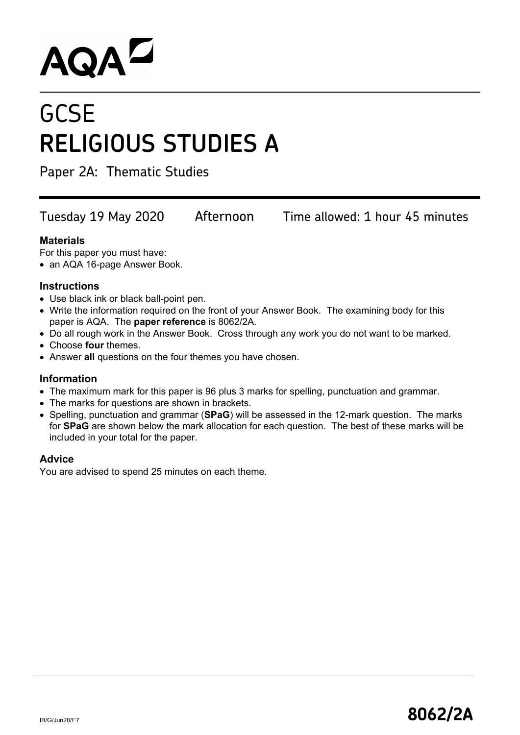# **AQAL**

## **GCSE RELIGIOUS STUDIES A**

Paper 2A: Thematic Studies

Tuesday 19 May 2020 Afternoon Time allowed: 1 hour 45 minutes

### **Materials**

For this paper you must have:

• an AQA 16-page Answer Book.

#### **Instructions**

- Use black ink or black ball-point pen.
- Write the information required on the front of your Answer Book. The examining body for this paper is AQA. The **paper reference** is 8062/2A.
- Do all rough work in the Answer Book. Cross through any work you do not want to be marked.
- Choose **four** themes.
- Answer **all** questions on the four themes you have chosen.

#### **Information**

- The maximum mark for this paper is 96 plus 3 marks for spelling, punctuation and grammar.
- The marks for questions are shown in brackets.
- Spelling, punctuation and grammar (**SPaG**) will be assessed in the 12-mark question. The marks for **SPaG** are shown below the mark allocation for each question. The best of these marks will be included in your total for the paper.

#### **Advice**

You are advised to spend 25 minutes on each theme.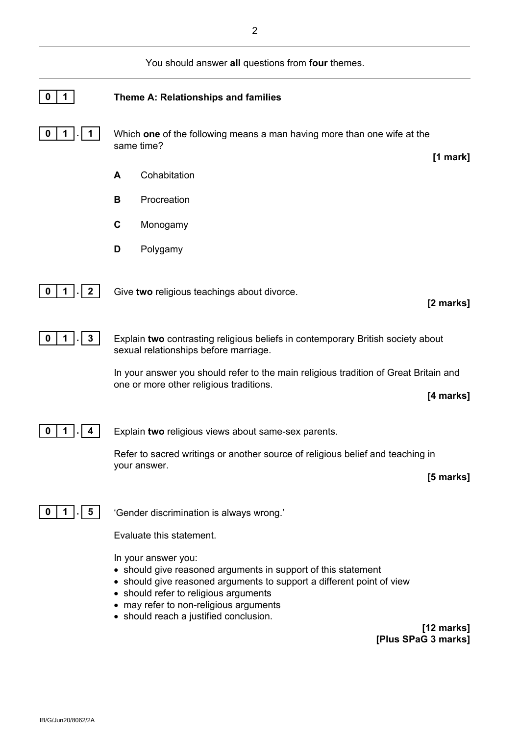

**[12 marks] [Plus SPaG 3 marks]**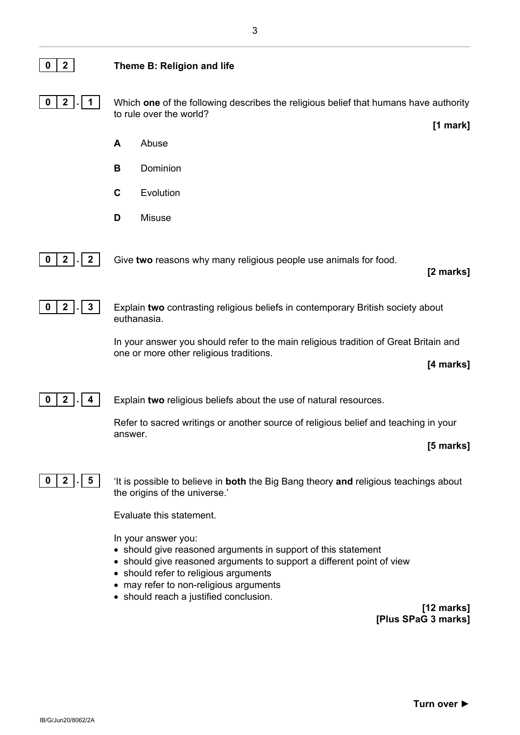#### **0 2 Theme B: Religion and life**

**0 2 . 1** Which **one** of the following describes the religious belief that humans have authority to rule over the world?

- **A** Abuse
- **B** Dominion
- **C** Evolution
- **D** Misuse



**0** | **2**  $\begin{bmatrix} . \end{bmatrix}$  **2** | Give **two** reasons why many religious people use animals for food.

**[2 marks]**

**[1 mark]**



**0 2 . 3** Explain **two** contrasting religious beliefs in contemporary British society about euthanasia.

> In your answer you should refer to the main religious tradition of Great Britain and one or more other religious traditions.

> > **[4 marks]**

**0 2 . 4** Explain **two** religious beliefs about the use of natural resources.

Refer to sacred writings or another source of religious belief and teaching in your answer.

**[5 marks]**



**0 2 . 5** 'It is possible to believe in **both** the Big Bang theory **and** religious teachings about the origins of the universe.'

Evaluate this statement.

In your answer you:

- should give reasoned arguments in support of this statement
- should give reasoned arguments to support a different point of view
- should refer to religious arguments
- may refer to non-religious arguments
- should reach a justified conclusion.

**[12 marks] [Plus SPaG 3 marks]**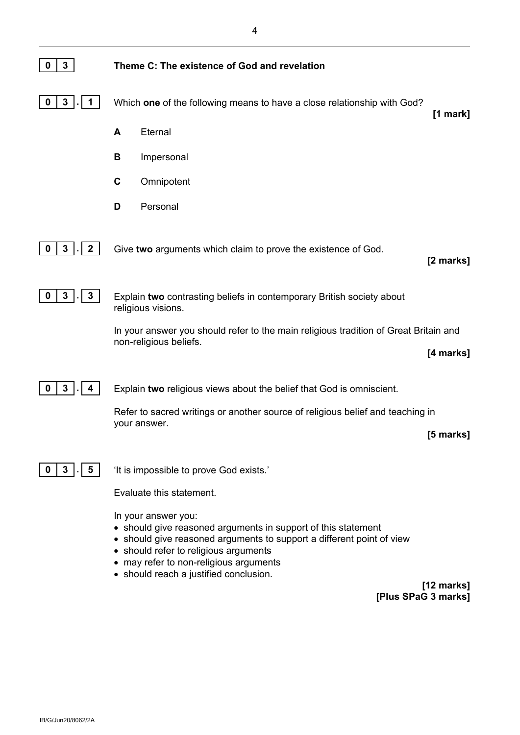| 3<br>0                     | Theme C: The existence of God and revelation                                                                                                                                                                                                                                                  |
|----------------------------|-----------------------------------------------------------------------------------------------------------------------------------------------------------------------------------------------------------------------------------------------------------------------------------------------|
| $\mathbf{3}$<br>0          | Which one of the following means to have a close relationship with God?<br>$[1$ mark $]$                                                                                                                                                                                                      |
|                            | Eternal<br>A                                                                                                                                                                                                                                                                                  |
|                            | В<br>Impersonal                                                                                                                                                                                                                                                                               |
|                            | C<br>Omnipotent                                                                                                                                                                                                                                                                               |
|                            | Personal<br>D                                                                                                                                                                                                                                                                                 |
| 3<br>$\boldsymbol{2}$<br>0 | Give two arguments which claim to prove the existence of God.<br>[2 marks]                                                                                                                                                                                                                    |
| 3<br>$\boldsymbol{3}$<br>0 | Explain two contrasting beliefs in contemporary British society about<br>religious visions.                                                                                                                                                                                                   |
|                            | In your answer you should refer to the main religious tradition of Great Britain and                                                                                                                                                                                                          |
|                            | non-religious beliefs.<br>[4 marks]                                                                                                                                                                                                                                                           |
| $\mathbf{3}$<br>0<br>4     | Explain two religious views about the belief that God is omniscient.                                                                                                                                                                                                                          |
|                            | Refer to sacred writings or another source of religious belief and teaching in                                                                                                                                                                                                                |
|                            | your answer.<br>[5 marks]                                                                                                                                                                                                                                                                     |
| 3<br>5<br>O                | 'It is impossible to prove God exists.'                                                                                                                                                                                                                                                       |
|                            | Evaluate this statement.                                                                                                                                                                                                                                                                      |
|                            | In your answer you:<br>• should give reasoned arguments in support of this statement<br>• should give reasoned arguments to support a different point of view<br>• should refer to religious arguments<br>may refer to non-religious arguments<br>٠<br>• should reach a justified conclusion. |
|                            | $[12 \text{ marks}]$<br>[Plus SPaG 3 marks]                                                                                                                                                                                                                                                   |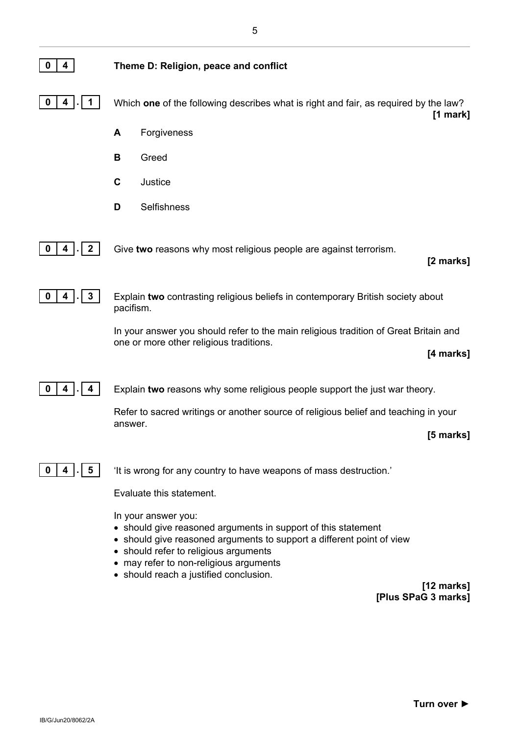| 4<br>0                     | Theme D: Religion, peace and conflict                                                                                                                                                                                                                                                                    |
|----------------------------|----------------------------------------------------------------------------------------------------------------------------------------------------------------------------------------------------------------------------------------------------------------------------------------------------------|
| 0<br>4                     | Which one of the following describes what is right and fair, as required by the law?<br>$[1 \text{ mark}]$                                                                                                                                                                                               |
|                            | Forgiveness<br>A                                                                                                                                                                                                                                                                                         |
|                            | В<br>Greed                                                                                                                                                                                                                                                                                               |
|                            | C<br>Justice                                                                                                                                                                                                                                                                                             |
|                            | Selfishness<br>D                                                                                                                                                                                                                                                                                         |
| $\boldsymbol{2}$<br>0<br>4 | Give two reasons why most religious people are against terrorism.<br>[2 marks]                                                                                                                                                                                                                           |
| 3<br>0<br>4                | Explain two contrasting religious beliefs in contemporary British society about<br>pacifism.                                                                                                                                                                                                             |
|                            | In your answer you should refer to the main religious tradition of Great Britain and<br>one or more other religious traditions.<br>[4 marks]                                                                                                                                                             |
| 4<br>0                     | Explain two reasons why some religious people support the just war theory.                                                                                                                                                                                                                               |
|                            | Refer to sacred writings or another source of religious belief and teaching in your                                                                                                                                                                                                                      |
|                            | answer.<br>[5 marks]                                                                                                                                                                                                                                                                                     |
| 5<br>4                     | 'It is wrong for any country to have weapons of mass destruction.'                                                                                                                                                                                                                                       |
|                            | Evaluate this statement.                                                                                                                                                                                                                                                                                 |
|                            | In your answer you:<br>• should give reasoned arguments in support of this statement<br>• should give reasoned arguments to support a different point of view<br>• should refer to religious arguments<br>• may refer to non-religious arguments<br>• should reach a justified conclusion.<br>[12 marks] |
|                            | [Plus SPaG 3 marks]                                                                                                                                                                                                                                                                                      |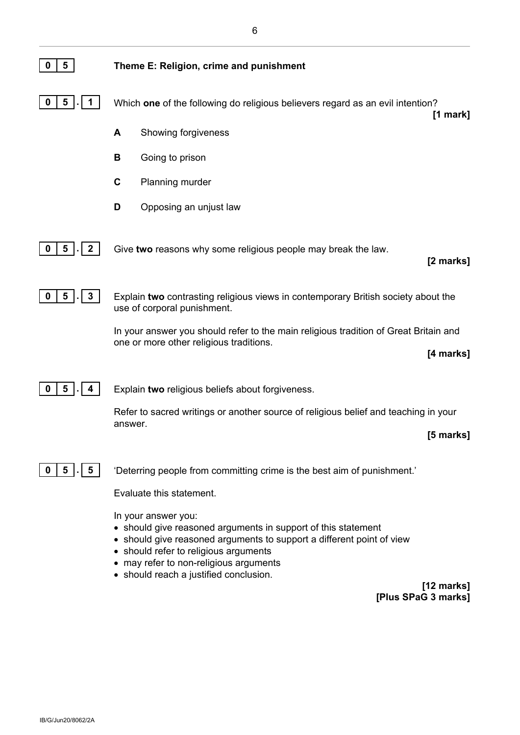| 5<br>0                   | Theme E: Religion, crime and punishment                                                                                                                                                                                                                                      |
|--------------------------|------------------------------------------------------------------------------------------------------------------------------------------------------------------------------------------------------------------------------------------------------------------------------|
| 5<br>O                   | Which one of the following do religious believers regard as an evil intention?<br>$[1$ mark $]$                                                                                                                                                                              |
|                          | A<br>Showing forgiveness                                                                                                                                                                                                                                                     |
|                          | В<br>Going to prison                                                                                                                                                                                                                                                         |
|                          | C<br>Planning murder                                                                                                                                                                                                                                                         |
|                          | D<br>Opposing an unjust law                                                                                                                                                                                                                                                  |
| 5<br>$\overline{2}$<br>0 | Give two reasons why some religious people may break the law.<br>[2 marks]                                                                                                                                                                                                   |
| $\mathbf{3}$<br>5<br>0   | Explain two contrasting religious views in contemporary British society about the<br>use of corporal punishment.                                                                                                                                                             |
|                          | In your answer you should refer to the main religious tradition of Great Britain and<br>one or more other religious traditions.<br>[4 marks]                                                                                                                                 |
| 5<br>0                   | Explain two religious beliefs about forgiveness.                                                                                                                                                                                                                             |
|                          | Refer to sacred writings or another source of religious belief and teaching in your<br>answer.<br>[5 marks]                                                                                                                                                                  |
| 5<br>5<br>U              | 'Deterring people from committing crime is the best aim of punishment.'                                                                                                                                                                                                      |
|                          | Evaluate this statement.<br>In your answer you:<br>• should give reasoned arguments in support of this statement<br>• should give reasoned arguments to support a different point of view<br>• should refer to religious arguments<br>• may refer to non-religious arguments |

• should reach a justified conclusion.

**[12 marks] [Plus SPaG 3 marks]**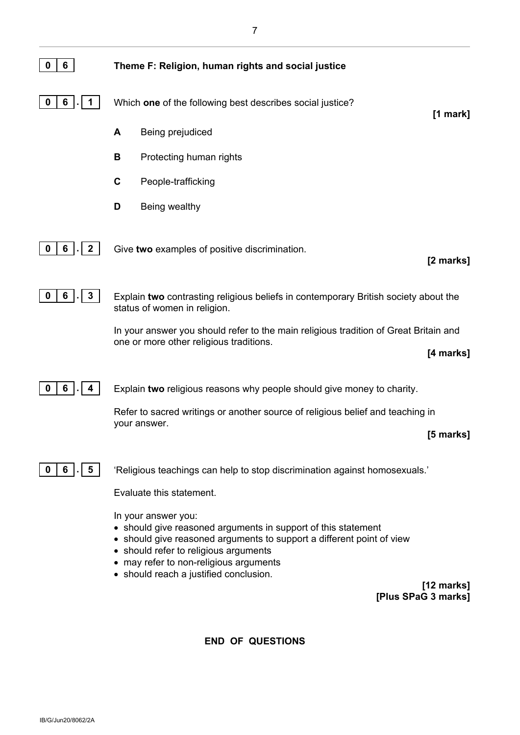

**[12 marks] [Plus SPaG 3 marks]**

**END OF QUESTIONS**